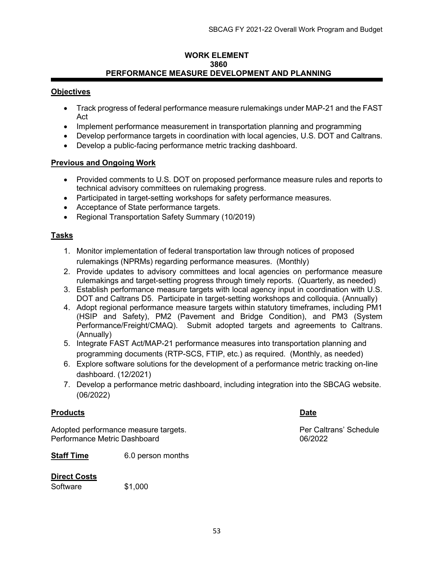#### WORK ELEMENT 3860 PERFORMANCE MEASURE DEVELOPMENT AND PLANNING

## **Objectives**

- Track progress of federal performance measure rulemakings under MAP-21 and the FAST Act
- Implement performance measurement in transportation planning and programming
- Develop performance targets in coordination with local agencies, U.S. DOT and Caltrans.
- Develop a public-facing performance metric tracking dashboard.

## Previous and Ongoing Work

- Provided comments to U.S. DOT on proposed performance measure rules and reports to technical advisory committees on rulemaking progress.
- Participated in target-setting workshops for safety performance measures.
- Acceptance of State performance targets.
- Regional Transportation Safety Summary (10/2019)

## Tasks

- 1. Monitor implementation of federal transportation law through notices of proposed rulemakings (NPRMs) regarding performance measures. (Monthly)
- 2. Provide updates to advisory committees and local agencies on performance measure rulemakings and target-setting progress through timely reports. (Quarterly, as needed)
- 3. Establish performance measure targets with local agency input in coordination with U.S. DOT and Caltrans D5. Participate in target-setting workshops and colloquia. (Annually)
- 4. Adopt regional performance measure targets within statutory timeframes, including PM1 (HSIP and Safety), PM2 (Pavement and Bridge Condition), and PM3 (System Performance/Freight/CMAQ). Submit adopted targets and agreements to Caltrans. (Annually)
- 5. Integrate FAST Act/MAP-21 performance measures into transportation planning and programming documents (RTP-SCS, FTIP, etc.) as required. (Monthly, as needed)
- 6. Explore software solutions for the development of a performance metric tracking on-line dashboard. (12/2021)
- 7. Develop a performance metric dashboard, including integration into the SBCAG website. (06/2022)

## Products **Date**

Adopted performance measure targets. Adopted per Caltrans' Schedule Performance Metric Dashboard 06/2022

Staff Time 6.0 person months

## Direct Costs

Software \$1,000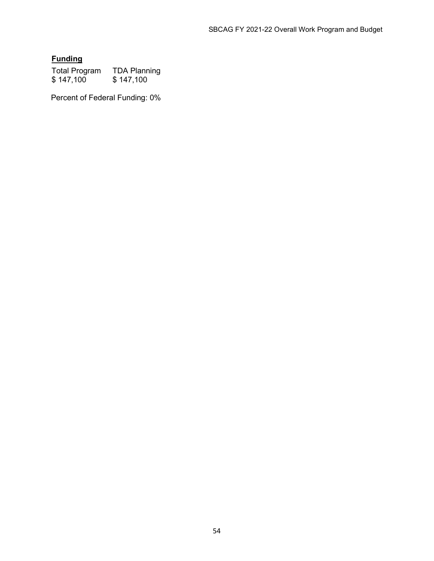# **Funding**

Total Program TDA Planning \$ 147,100 \$ 147,100

Percent of Federal Funding: 0%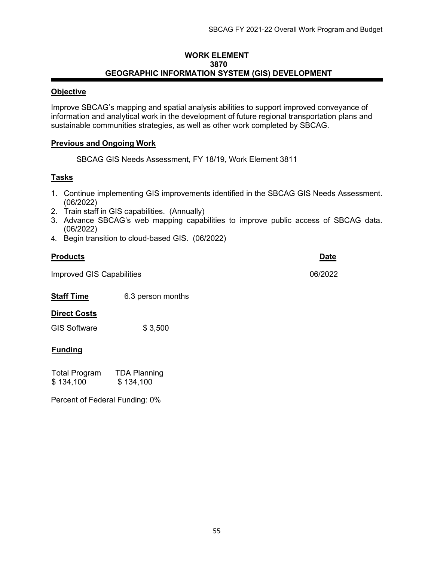#### WORK ELEMENT 3870 GEOGRAPHIC INFORMATION SYSTEM (GIS) DEVELOPMENT

## **Objective**

Improve SBCAG's mapping and spatial analysis abilities to support improved conveyance of information and analytical work in the development of future regional transportation plans and sustainable communities strategies, as well as other work completed by SBCAG.

## Previous and Ongoing Work

SBCAG GIS Needs Assessment, FY 18/19, Work Element 3811

## Tasks

- 1. Continue implementing GIS improvements identified in the SBCAG GIS Needs Assessment. (06/2022)
- 2. Train staff in GIS capabilities. (Annually)
- 3. Advance SBCAG's web mapping capabilities to improve public access of SBCAG data. (06/2022)
- 4. Begin transition to cloud-based GIS. (06/2022)

## Products **Date**

Improved GIS Capabilities 06/2022

Staff Time 6.3 person months

## **Direct Costs**

GIS Software \$ 3,500

## **Funding**

| <b>Total Program</b> | <b>TDA Planning</b> |
|----------------------|---------------------|
| \$134,100            | \$134,100           |

Percent of Federal Funding: 0%